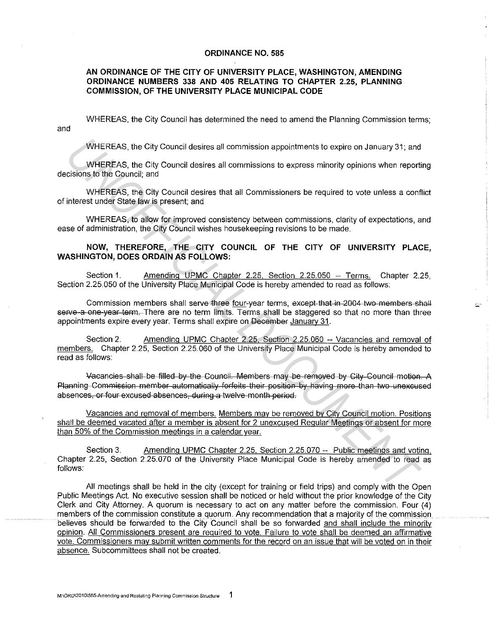## **ORDINANCE NO. 585**

## **AN ORDINANCE OF THE CITY OF UNIVERSITY PLACE, WASHINGTON, AMENDING ORDINANCE NUMBERS 338 AND 405 RELATING TO CHAPTER 2.25, PLANNING COMMISSION, OF THE UNIVERSITY PLACE MUNICIPAL CODE**

and WHEREAS, the City Council has determined the need to amend the Planning Commission terms;

WHEREAS, the City Council desires all commission appointments to expire on January 31; and

WHEREAS, the City Council desires all commissions to express minority opinions when reporting decisions to the Council; and

WHEREAS, the City Council desires that all Commissioners be required to vote unless a conflict of interest under State law is present; and

WHEREAS, to allow for improved consistency between commissions, clarity of expectations, and ease of administration, the City Council wishes housekeeping revisions to be made.

## **NOW, THEREFORE, THE CITY COUNCIL OF THE CITY OF UNIVERSITY PLACE, WASHINGTON, DOES ORDAIN AS FOLLOWS:**

Section 1. Amending UPMC Chapter 2.25, Section 2.25.050 -- Terms. Chapter 2.25, Section 2.25.050 of the University Place Municipal Code is hereby amended to read as follows:

Commission members shall serve three four-year terms, except that in 2004 two members shall serve a one year term. There are no term limits. Terms shall be staggered so that no more than three appointments expire every year. Terms shall expire on December Januarv 31.

Section 2. Amending UPMC Chapter 2.25, Section 2.25.060 -- Vacancies and removal of members. Chapter 2.25, Section 2.25.060 of the University Place Municipal Code is hereby amended to read as follows:

Vacancies shall be filled by the Council. Members may be removed by City Council motion. A Planning Commission member automatically forfeits their position by having more than two unexcused absences, or four excused absences, during a twelve month period. WHEREAS, the City Council desires all commission appointments to expire on January 31; and<br>
WHEREAS, the City Council desires all commissions to express minority opinions when report<br>
cisions to the Council and is document

Vacancies and removal of members. Members may be removed by City Council motion. Positions shall be deemed vacated after a member is absent for 2 unexcused Regular Meetings or absent for more than 50% of the Commission meetings in a calendar year.

Section 3. Amending UPMC Chapter 2.25, Section 2.25.070 -- Public meetings and voting. Chapter 2.25, Section 2.25.070 of the University Place Municipal Code is hereby amended to read as follows:

All meetings shall be held in the city (except for training or field trips) and comply with the Open Public Meetings Act. No executive session shall be noticed or held without the prior knowledge of the City Clerk and City Attorney. A quorum is necessary to act on any matter before the commission. Four (4) members of the commission constitute a quorum. Any recommendation that a majority of the commission believes should be forwarded to the City Council shall be so forwarded and shall include the minority opinion. All Commissioners present are required to vote. Failure to vote shall be deemed an affirmative vote. Commissioners may submit written comments for the record on an issue that will be voted on in their absence. Subcommittees shall not be created.

 $\tilde{\mathbb{Z}}^2$